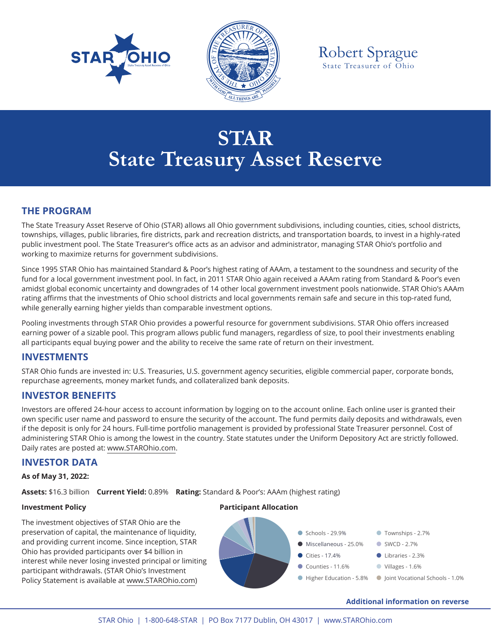



Robert Sprague State Treasurer of Ohio

# **STAR State Treasury Asset Reserve**

### **THE PROGRAM**

The State Treasury Asset Reserve of Ohio (STAR) allows all Ohio government subdivisions, including counties, cities, school districts, townships, villages, public libraries, fire districts, park and recreation districts, and transportation boards, to invest in a highly-rated public investment pool. The State Treasurer's office acts as an advisor and administrator, managing STAR Ohio's portfolio and working to maximize returns for government subdivisions.

Since 1995 STAR Ohio has maintained Standard & Poor's highest rating of AAAm, a testament to the soundness and security of the fund for a local government investment pool. In fact, in 2011 STAR Ohio again received a AAAm rating from Standard & Poor's even amidst global economic uncertainty and downgrades of 14 other local government investment pools nationwide. STAR Ohio's AAAm rating affirms that the investments of Ohio school districts and local governments remain safe and secure in this top-rated fund, while generally earning higher yields than comparable investment options.

Pooling investments through STAR Ohio provides a powerful resource for government subdivisions. STAR Ohio offers increased earning power of a sizable pool. This program allows public fund managers, regardless of size, to pool their investments enabling all participants equal buying power and the ability to receive the same rate of return on their investment.

### **INVESTMENTS**

STAR Ohio funds are invested in: U.S. Treasuries, U.S. government agency securities, eligible commercial paper, corporate bonds, repurchase agreements, money market funds, and collateralized bank deposits.

### **INVESTOR BENEFITS**

Investors are offered 24-hour access to account information by logging on to the account online. Each online user is granted their own specific user name and password to ensure the security of the account. The fund permits daily deposits and withdrawals, even if the deposit is only for 24 hours. Full-time portfolio management is provided by professional State Treasurer personnel. Cost of administering STAR Ohio is among the lowest in the country. State statutes under the Uniform Depository Act are strictly followed. Daily rates are posted at: www.STAROhio.com.

### **INVESTOR DATA**

#### **As of May 31, 2022:**

Assets: \$16.3 billion **Current Yield:** 0.89% Rating: Standard & Poor's: AAAm (highest rating)

The investment objectives of STAR Ohio are the preservation of capital, the maintenance of liquidity, and providing current income. Since inception, STAR Ohio has provided participants over \$4 billion in interest while never losing invested principal or limiting participant withdrawals. (STAR Ohio's Investment Policy Statement is available at www.STAROhio.com)

### **Investment Policy Participant Allocation**



#### **Additional information on reverse**